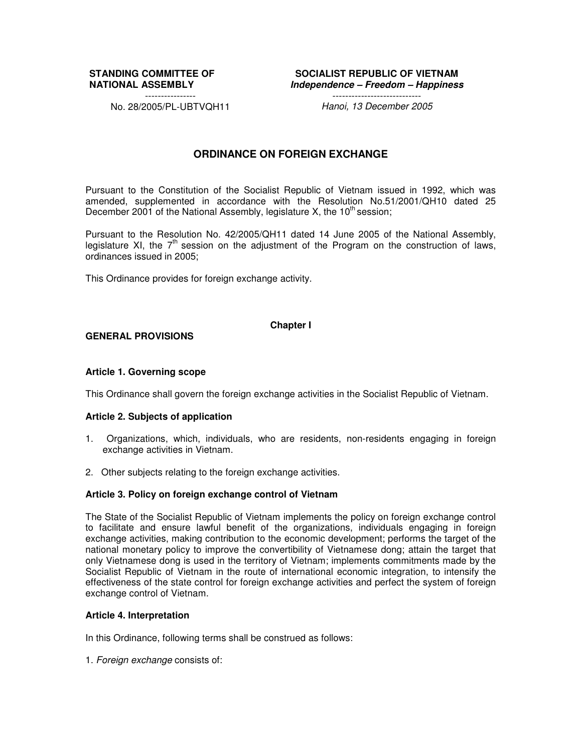# **STANDING COMMITTEE OF NATIONAL ASSEMBLY**

**SOCIALIST REPUBLIC OF VIETNAM Independence – Freedom – Happiness**

---------------- No. 28/2005/PL-UBTVQH11

Hanoi, 13 December 2005

----------------------------

# **ORDINANCE ON FOREIGN EXCHANGE**

Pursuant to the Constitution of the Socialist Republic of Vietnam issued in 1992, which was amended, supplemented in accordance with the Resolution No.51/2001/QH10 dated 25 December 2001 of the National Assembly, legislature X, the  $10<sup>th</sup>$  session;

Pursuant to the Resolution No. 42/2005/QH11 dated 14 June 2005 of the National Assembly, legislature XI, the  $7<sup>th</sup>$  session on the adjustment of the Program on the construction of laws, ordinances issued in 2005;

This Ordinance provides for foreign exchange activity.

## **Chapter I**

# **GENERAL PROVISIONS**

### **Article 1. Governing scope**

This Ordinance shall govern the foreign exchange activities in the Socialist Republic of Vietnam.

## **Article 2. Subjects of application**

- 1. Organizations, which, individuals, who are residents, non-residents engaging in foreign exchange activities in Vietnam.
- 2. Other subjects relating to the foreign exchange activities.

#### **Article 3. Policy on foreign exchange control of Vietnam**

The State of the Socialist Republic of Vietnam implements the policy on foreign exchange control to facilitate and ensure lawful benefit of the organizations, individuals engaging in foreign exchange activities, making contribution to the economic development; performs the target of the national monetary policy to improve the convertibility of Vietnamese dong; attain the target that only Vietnamese dong is used in the territory of Vietnam; implements commitments made by the Socialist Republic of Vietnam in the route of international economic integration, to intensify the effectiveness of the state control for foreign exchange activities and perfect the system of foreign exchange control of Vietnam.

#### **Article 4. Interpretation**

In this Ordinance, following terms shall be construed as follows:

1. Foreign exchange consists of: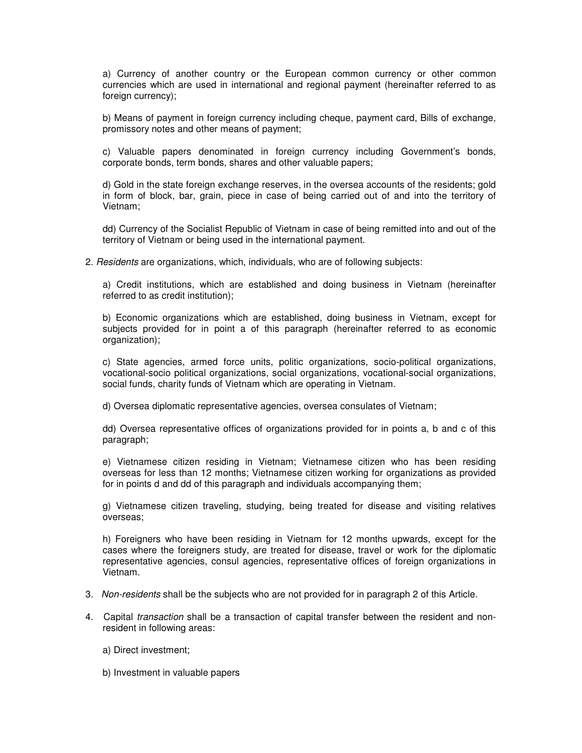a) Currency of another country or the European common currency or other common currencies which are used in international and regional payment (hereinafter referred to as foreign currency);

b) Means of payment in foreign currency including cheque, payment card, Bills of exchange, promissory notes and other means of payment;

c) Valuable papers denominated in foreign currency including Government's bonds, corporate bonds, term bonds, shares and other valuable papers;

d) Gold in the state foreign exchange reserves, in the oversea accounts of the residents; gold in form of block, bar, grain, piece in case of being carried out of and into the territory of Vietnam;

dd) Currency of the Socialist Republic of Vietnam in case of being remitted into and out of the territory of Vietnam or being used in the international payment.

2. Residents are organizations, which, individuals, who are of following subjects:

a) Credit institutions, which are established and doing business in Vietnam (hereinafter referred to as credit institution);

b) Economic organizations which are established, doing business in Vietnam, except for subjects provided for in point a of this paragraph (hereinafter referred to as economic organization);

c) State agencies, armed force units, politic organizations, socio-political organizations, vocational-socio political organizations, social organizations, vocational-social organizations, social funds, charity funds of Vietnam which are operating in Vietnam.

d) Oversea diplomatic representative agencies, oversea consulates of Vietnam;

dd) Oversea representative offices of organizations provided for in points a, b and c of this paragraph;

e) Vietnamese citizen residing in Vietnam; Vietnamese citizen who has been residing overseas for less than 12 months; Vietnamese citizen working for organizations as provided for in points d and dd of this paragraph and individuals accompanying them;

g) Vietnamese citizen traveling, studying, being treated for disease and visiting relatives overseas;

h) Foreigners who have been residing in Vietnam for 12 months upwards, except for the cases where the foreigners study, are treated for disease, travel or work for the diplomatic representative agencies, consul agencies, representative offices of foreign organizations in Vietnam.

- 3. Non-residents shall be the subjects who are not provided for in paragraph 2 of this Article.
- 4. Capital transaction shall be a transaction of capital transfer between the resident and nonresident in following areas:
	- a) Direct investment;
	- b) Investment in valuable papers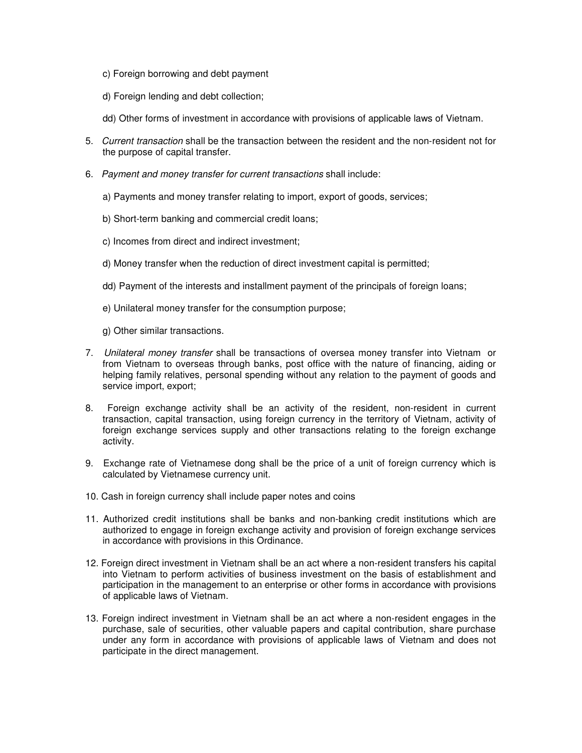- c) Foreign borrowing and debt payment
- d) Foreign lending and debt collection;
- dd) Other forms of investment in accordance with provisions of applicable laws of Vietnam.
- 5. Current transaction shall be the transaction between the resident and the non-resident not for the purpose of capital transfer.
- 6. Payment and money transfer for current transactions shall include:
	- a) Payments and money transfer relating to import, export of goods, services;
	- b) Short-term banking and commercial credit loans;
	- c) Incomes from direct and indirect investment;
	- d) Money transfer when the reduction of direct investment capital is permitted;
	- dd) Payment of the interests and installment payment of the principals of foreign loans;
	- e) Unilateral money transfer for the consumption purpose;
	- g) Other similar transactions.
- 7. Unilateral money transfer shall be transactions of oversea money transfer into Vietnam or from Vietnam to overseas through banks, post office with the nature of financing, aiding or helping family relatives, personal spending without any relation to the payment of goods and service import, export;
- 8. Foreign exchange activity shall be an activity of the resident, non-resident in current transaction, capital transaction, using foreign currency in the territory of Vietnam, activity of foreign exchange services supply and other transactions relating to the foreign exchange activity.
- 9. Exchange rate of Vietnamese dong shall be the price of a unit of foreign currency which is calculated by Vietnamese currency unit.
- 10. Cash in foreign currency shall include paper notes and coins
- 11. Authorized credit institutions shall be banks and non-banking credit institutions which are authorized to engage in foreign exchange activity and provision of foreign exchange services in accordance with provisions in this Ordinance.
- 12. Foreign direct investment in Vietnam shall be an act where a non-resident transfers his capital into Vietnam to perform activities of business investment on the basis of establishment and participation in the management to an enterprise or other forms in accordance with provisions of applicable laws of Vietnam.
- 13. Foreign indirect investment in Vietnam shall be an act where a non-resident engages in the purchase, sale of securities, other valuable papers and capital contribution, share purchase under any form in accordance with provisions of applicable laws of Vietnam and does not participate in the direct management.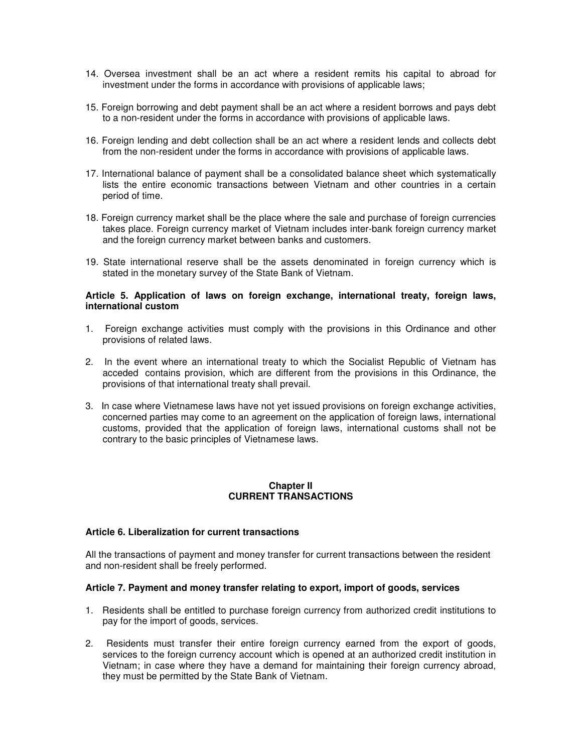- 14. Oversea investment shall be an act where a resident remits his capital to abroad for investment under the forms in accordance with provisions of applicable laws;
- 15. Foreign borrowing and debt payment shall be an act where a resident borrows and pays debt to a non-resident under the forms in accordance with provisions of applicable laws.
- 16. Foreign lending and debt collection shall be an act where a resident lends and collects debt from the non-resident under the forms in accordance with provisions of applicable laws.
- 17. International balance of payment shall be a consolidated balance sheet which systematically lists the entire economic transactions between Vietnam and other countries in a certain period of time.
- 18. Foreign currency market shall be the place where the sale and purchase of foreign currencies takes place. Foreign currency market of Vietnam includes inter-bank foreign currency market and the foreign currency market between banks and customers.
- 19. State international reserve shall be the assets denominated in foreign currency which is stated in the monetary survey of the State Bank of Vietnam.

### **Article 5. Application of laws on foreign exchange, international treaty, foreign laws, international custom**

- 1. Foreign exchange activities must comply with the provisions in this Ordinance and other provisions of related laws.
- 2. In the event where an international treaty to which the Socialist Republic of Vietnam has acceded contains provision, which are different from the provisions in this Ordinance, the provisions of that international treaty shall prevail.
- 3. In case where Vietnamese laws have not yet issued provisions on foreign exchange activities, concerned parties may come to an agreement on the application of foreign laws, international customs, provided that the application of foreign laws, international customs shall not be contrary to the basic principles of Vietnamese laws.

#### **Chapter II CURRENT TRANSACTIONS**

## **Article 6. Liberalization for current transactions**

All the transactions of payment and money transfer for current transactions between the resident and non-resident shall be freely performed.

## **Article 7. Payment and money transfer relating to export, import of goods, services**

- 1. Residents shall be entitled to purchase foreign currency from authorized credit institutions to pay for the import of goods, services.
- 2. Residents must transfer their entire foreign currency earned from the export of goods, services to the foreign currency account which is opened at an authorized credit institution in Vietnam; in case where they have a demand for maintaining their foreign currency abroad, they must be permitted by the State Bank of Vietnam.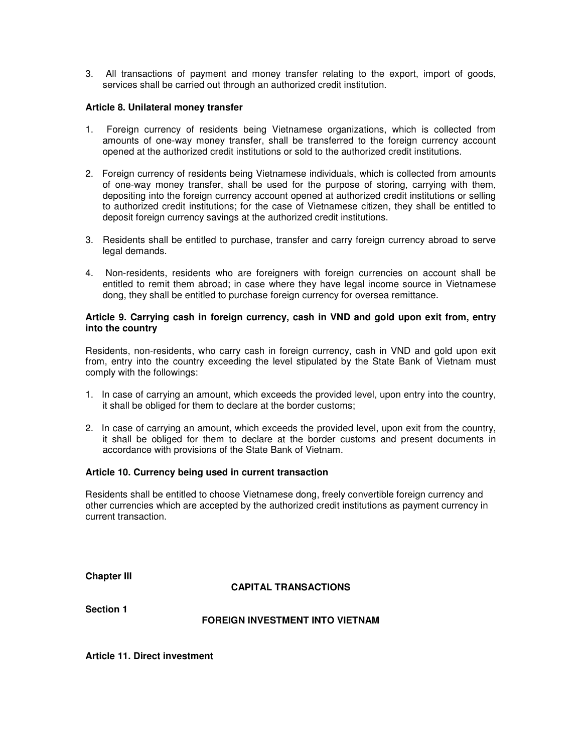3. All transactions of payment and money transfer relating to the export, import of goods, services shall be carried out through an authorized credit institution.

# **Article 8. Unilateral money transfer**

- 1. Foreign currency of residents being Vietnamese organizations, which is collected from amounts of one-way money transfer, shall be transferred to the foreign currency account opened at the authorized credit institutions or sold to the authorized credit institutions.
- 2. Foreign currency of residents being Vietnamese individuals, which is collected from amounts of one-way money transfer, shall be used for the purpose of storing, carrying with them, depositing into the foreign currency account opened at authorized credit institutions or selling to authorized credit institutions; for the case of Vietnamese citizen, they shall be entitled to deposit foreign currency savings at the authorized credit institutions.
- 3. Residents shall be entitled to purchase, transfer and carry foreign currency abroad to serve legal demands.
- 4. Non-residents, residents who are foreigners with foreign currencies on account shall be entitled to remit them abroad; in case where they have legal income source in Vietnamese dong, they shall be entitled to purchase foreign currency for oversea remittance.

## **Article 9. Carrying cash in foreign currency, cash in VND and gold upon exit from, entry into the country**

Residents, non-residents, who carry cash in foreign currency, cash in VND and gold upon exit from, entry into the country exceeding the level stipulated by the State Bank of Vietnam must comply with the followings:

- 1. In case of carrying an amount, which exceeds the provided level, upon entry into the country, it shall be obliged for them to declare at the border customs;
- 2. In case of carrying an amount, which exceeds the provided level, upon exit from the country, it shall be obliged for them to declare at the border customs and present documents in accordance with provisions of the State Bank of Vietnam.

## **Article 10. Currency being used in current transaction**

Residents shall be entitled to choose Vietnamese dong, freely convertible foreign currency and other currencies which are accepted by the authorized credit institutions as payment currency in current transaction.

**Chapter III** 

## **CAPITAL TRANSACTIONS**

**Section 1** 

## **FOREIGN INVESTMENT INTO VIETNAM**

**Article 11. Direct investment**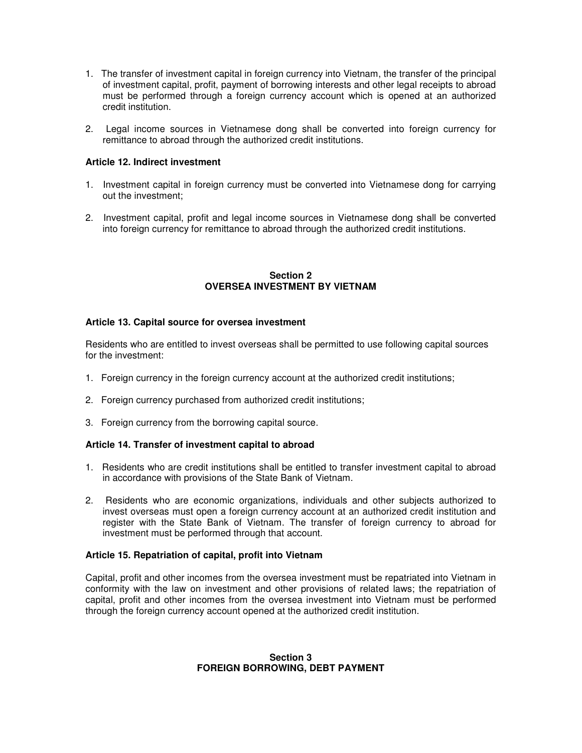- 1. The transfer of investment capital in foreign currency into Vietnam, the transfer of the principal of investment capital, profit, payment of borrowing interests and other legal receipts to abroad must be performed through a foreign currency account which is opened at an authorized credit institution.
- 2. Legal income sources in Vietnamese dong shall be converted into foreign currency for remittance to abroad through the authorized credit institutions.

## **Article 12. Indirect investment**

- 1. Investment capital in foreign currency must be converted into Vietnamese dong for carrying out the investment;
- 2. Investment capital, profit and legal income sources in Vietnamese dong shall be converted into foreign currency for remittance to abroad through the authorized credit institutions.

# **Section 2 OVERSEA INVESTMENT BY VIETNAM**

# **Article 13. Capital source for oversea investment**

Residents who are entitled to invest overseas shall be permitted to use following capital sources for the investment:

- 1. Foreign currency in the foreign currency account at the authorized credit institutions;
- 2. Foreign currency purchased from authorized credit institutions;
- 3. Foreign currency from the borrowing capital source.

## **Article 14. Transfer of investment capital to abroad**

- 1. Residents who are credit institutions shall be entitled to transfer investment capital to abroad in accordance with provisions of the State Bank of Vietnam.
- 2. Residents who are economic organizations, individuals and other subjects authorized to invest overseas must open a foreign currency account at an authorized credit institution and register with the State Bank of Vietnam. The transfer of foreign currency to abroad for investment must be performed through that account.

## **Article 15. Repatriation of capital, profit into Vietnam**

Capital, profit and other incomes from the oversea investment must be repatriated into Vietnam in conformity with the law on investment and other provisions of related laws; the repatriation of capital, profit and other incomes from the oversea investment into Vietnam must be performed through the foreign currency account opened at the authorized credit institution.

#### **Section 3 FOREIGN BORROWING, DEBT PAYMENT**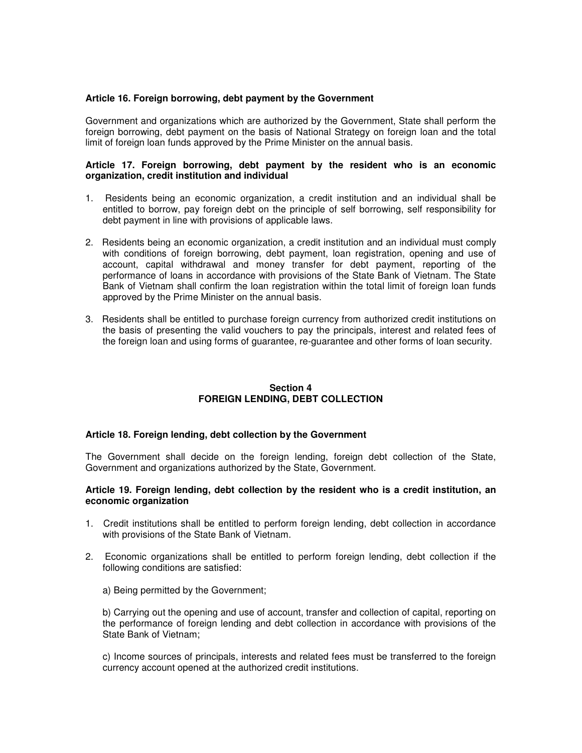### **Article 16. Foreign borrowing, debt payment by the Government**

Government and organizations which are authorized by the Government, State shall perform the foreign borrowing, debt payment on the basis of National Strategy on foreign loan and the total limit of foreign loan funds approved by the Prime Minister on the annual basis.

## **Article 17. Foreign borrowing, debt payment by the resident who is an economic organization, credit institution and individual**

- 1. Residents being an economic organization, a credit institution and an individual shall be entitled to borrow, pay foreign debt on the principle of self borrowing, self responsibility for debt payment in line with provisions of applicable laws.
- 2. Residents being an economic organization, a credit institution and an individual must comply with conditions of foreign borrowing, debt payment, loan registration, opening and use of account, capital withdrawal and money transfer for debt payment, reporting of the performance of loans in accordance with provisions of the State Bank of Vietnam. The State Bank of Vietnam shall confirm the loan registration within the total limit of foreign loan funds approved by the Prime Minister on the annual basis.
- 3. Residents shall be entitled to purchase foreign currency from authorized credit institutions on the basis of presenting the valid vouchers to pay the principals, interest and related fees of the foreign loan and using forms of guarantee, re-guarantee and other forms of loan security.

## **Section 4 FOREIGN LENDING, DEBT COLLECTION**

## **Article 18. Foreign lending, debt collection by the Government**

The Government shall decide on the foreign lending, foreign debt collection of the State, Government and organizations authorized by the State, Government.

#### **Article 19. Foreign lending, debt collection by the resident who is a credit institution, an economic organization**

- 1. Credit institutions shall be entitled to perform foreign lending, debt collection in accordance with provisions of the State Bank of Vietnam.
- 2. Economic organizations shall be entitled to perform foreign lending, debt collection if the following conditions are satisfied:

a) Being permitted by the Government;

b) Carrying out the opening and use of account, transfer and collection of capital, reporting on the performance of foreign lending and debt collection in accordance with provisions of the State Bank of Vietnam;

c) Income sources of principals, interests and related fees must be transferred to the foreign currency account opened at the authorized credit institutions.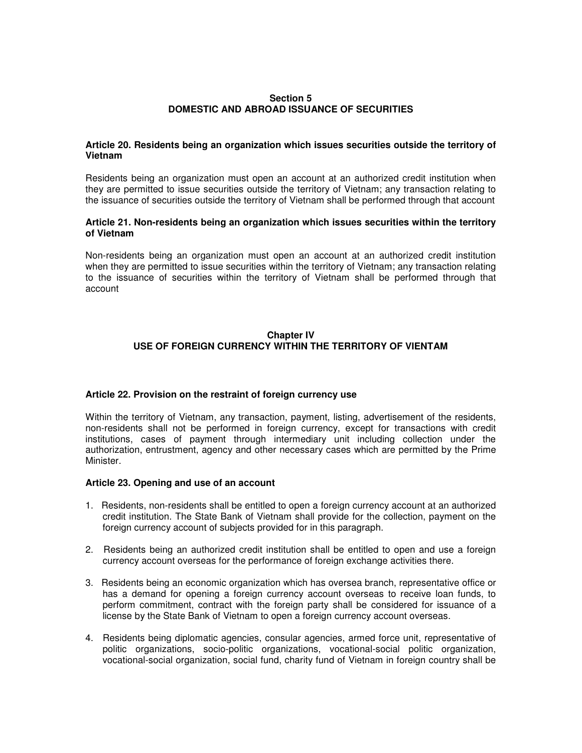### **Section 5 DOMESTIC AND ABROAD ISSUANCE OF SECURITIES**

#### **Article 20. Residents being an organization which issues securities outside the territory of Vietnam**

Residents being an organization must open an account at an authorized credit institution when they are permitted to issue securities outside the territory of Vietnam; any transaction relating to the issuance of securities outside the territory of Vietnam shall be performed through that account

### **Article 21. Non-residents being an organization which issues securities within the territory of Vietnam**

Non-residents being an organization must open an account at an authorized credit institution when they are permitted to issue securities within the territory of Vietnam; any transaction relating to the issuance of securities within the territory of Vietnam shall be performed through that account

# **Chapter IV USE OF FOREIGN CURRENCY WITHIN THE TERRITORY OF VIENTAM**

## **Article 22. Provision on the restraint of foreign currency use**

Within the territory of Vietnam, any transaction, payment, listing, advertisement of the residents, non-residents shall not be performed in foreign currency, except for transactions with credit institutions, cases of payment through intermediary unit including collection under the authorization, entrustment, agency and other necessary cases which are permitted by the Prime Minister.

#### **Article 23. Opening and use of an account**

- 1. Residents, non-residents shall be entitled to open a foreign currency account at an authorized credit institution. The State Bank of Vietnam shall provide for the collection, payment on the foreign currency account of subjects provided for in this paragraph.
- 2. Residents being an authorized credit institution shall be entitled to open and use a foreign currency account overseas for the performance of foreign exchange activities there.
- 3. Residents being an economic organization which has oversea branch, representative office or has a demand for opening a foreign currency account overseas to receive loan funds, to perform commitment, contract with the foreign party shall be considered for issuance of a license by the State Bank of Vietnam to open a foreign currency account overseas.
- 4. Residents being diplomatic agencies, consular agencies, armed force unit, representative of politic organizations, socio-politic organizations, vocational-social politic organization, vocational-social organization, social fund, charity fund of Vietnam in foreign country shall be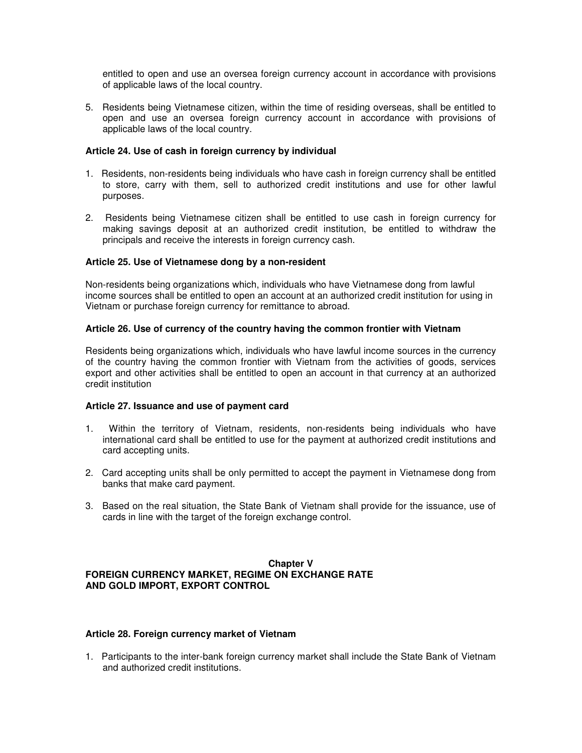entitled to open and use an oversea foreign currency account in accordance with provisions of applicable laws of the local country.

5. Residents being Vietnamese citizen, within the time of residing overseas, shall be entitled to open and use an oversea foreign currency account in accordance with provisions of applicable laws of the local country.

# **Article 24. Use of cash in foreign currency by individual**

- 1. Residents, non-residents being individuals who have cash in foreign currency shall be entitled to store, carry with them, sell to authorized credit institutions and use for other lawful purposes.
- 2. Residents being Vietnamese citizen shall be entitled to use cash in foreign currency for making savings deposit at an authorized credit institution, be entitled to withdraw the principals and receive the interests in foreign currency cash.

# **Article 25. Use of Vietnamese dong by a non-resident**

Non-residents being organizations which, individuals who have Vietnamese dong from lawful income sources shall be entitled to open an account at an authorized credit institution for using in Vietnam or purchase foreign currency for remittance to abroad.

# **Article 26. Use of currency of the country having the common frontier with Vietnam**

Residents being organizations which, individuals who have lawful income sources in the currency of the country having the common frontier with Vietnam from the activities of goods, services export and other activities shall be entitled to open an account in that currency at an authorized credit institution

## **Article 27. Issuance and use of payment card**

- 1. Within the territory of Vietnam, residents, non-residents being individuals who have international card shall be entitled to use for the payment at authorized credit institutions and card accepting units.
- 2. Card accepting units shall be only permitted to accept the payment in Vietnamese dong from banks that make card payment.
- 3. Based on the real situation, the State Bank of Vietnam shall provide for the issuance, use of cards in line with the target of the foreign exchange control.

#### **Chapter V FOREIGN CURRENCY MARKET, REGIME ON EXCHANGE RATE AND GOLD IMPORT, EXPORT CONTROL**

## **Article 28. Foreign currency market of Vietnam**

1. Participants to the inter-bank foreign currency market shall include the State Bank of Vietnam and authorized credit institutions.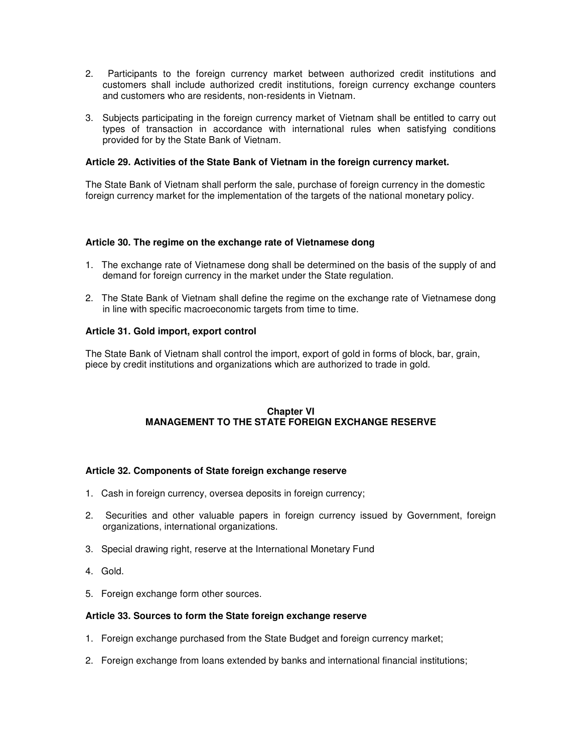- 2. Participants to the foreign currency market between authorized credit institutions and customers shall include authorized credit institutions, foreign currency exchange counters and customers who are residents, non-residents in Vietnam.
- 3. Subjects participating in the foreign currency market of Vietnam shall be entitled to carry out types of transaction in accordance with international rules when satisfying conditions provided for by the State Bank of Vietnam.

# **Article 29. Activities of the State Bank of Vietnam in the foreign currency market.**

The State Bank of Vietnam shall perform the sale, purchase of foreign currency in the domestic foreign currency market for the implementation of the targets of the national monetary policy.

## **Article 30. The regime on the exchange rate of Vietnamese dong**

- 1. The exchange rate of Vietnamese dong shall be determined on the basis of the supply of and demand for foreign currency in the market under the State regulation.
- 2. The State Bank of Vietnam shall define the regime on the exchange rate of Vietnamese dong in line with specific macroeconomic targets from time to time.

# **Article 31. Gold import, export control**

The State Bank of Vietnam shall control the import, export of gold in forms of block, bar, grain, piece by credit institutions and organizations which are authorized to trade in gold.

# **Chapter VI MANAGEMENT TO THE STATE FOREIGN EXCHANGE RESERVE**

## **Article 32. Components of State foreign exchange reserve**

- 1. Cash in foreign currency, oversea deposits in foreign currency;
- 2. Securities and other valuable papers in foreign currency issued by Government, foreign organizations, international organizations.
- 3. Special drawing right, reserve at the International Monetary Fund
- 4. Gold.
- 5. Foreign exchange form other sources.

## **Article 33. Sources to form the State foreign exchange reserve**

- 1. Foreign exchange purchased from the State Budget and foreign currency market;
- 2. Foreign exchange from loans extended by banks and international financial institutions;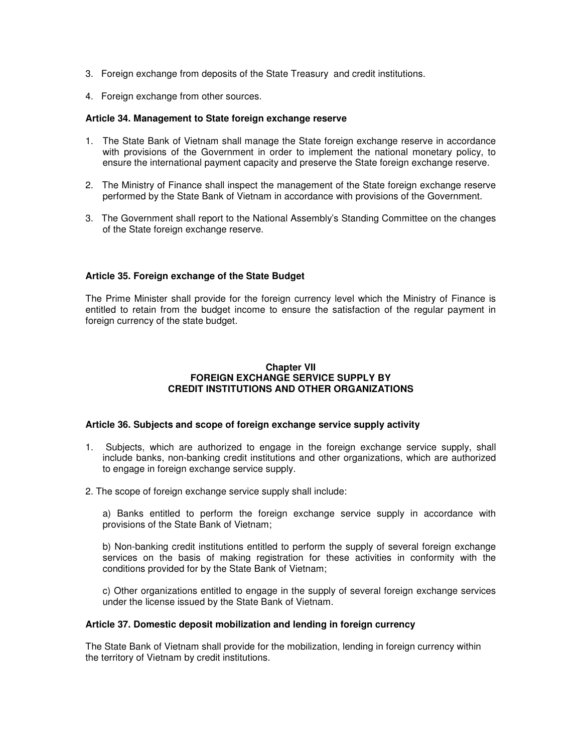- 3. Foreign exchange from deposits of the State Treasury and credit institutions.
- 4. Foreign exchange from other sources.

## **Article 34. Management to State foreign exchange reserve**

- 1. The State Bank of Vietnam shall manage the State foreign exchange reserve in accordance with provisions of the Government in order to implement the national monetary policy, to ensure the international payment capacity and preserve the State foreign exchange reserve.
- 2. The Ministry of Finance shall inspect the management of the State foreign exchange reserve performed by the State Bank of Vietnam in accordance with provisions of the Government.
- 3. The Government shall report to the National Assembly's Standing Committee on the changes of the State foreign exchange reserve.

## **Article 35. Foreign exchange of the State Budget**

The Prime Minister shall provide for the foreign currency level which the Ministry of Finance is entitled to retain from the budget income to ensure the satisfaction of the regular payment in foreign currency of the state budget.

### **Chapter VII FOREIGN EXCHANGE SERVICE SUPPLY BY CREDIT INSTITUTIONS AND OTHER ORGANIZATIONS**

## **Article 36. Subjects and scope of foreign exchange service supply activity**

- 1. Subjects, which are authorized to engage in the foreign exchange service supply, shall include banks, non-banking credit institutions and other organizations, which are authorized to engage in foreign exchange service supply.
- 2. The scope of foreign exchange service supply shall include:

a) Banks entitled to perform the foreign exchange service supply in accordance with provisions of the State Bank of Vietnam;

b) Non-banking credit institutions entitled to perform the supply of several foreign exchange services on the basis of making registration for these activities in conformity with the conditions provided for by the State Bank of Vietnam;

c) Other organizations entitled to engage in the supply of several foreign exchange services under the license issued by the State Bank of Vietnam.

#### **Article 37. Domestic deposit mobilization and lending in foreign currency**

The State Bank of Vietnam shall provide for the mobilization, lending in foreign currency within the territory of Vietnam by credit institutions.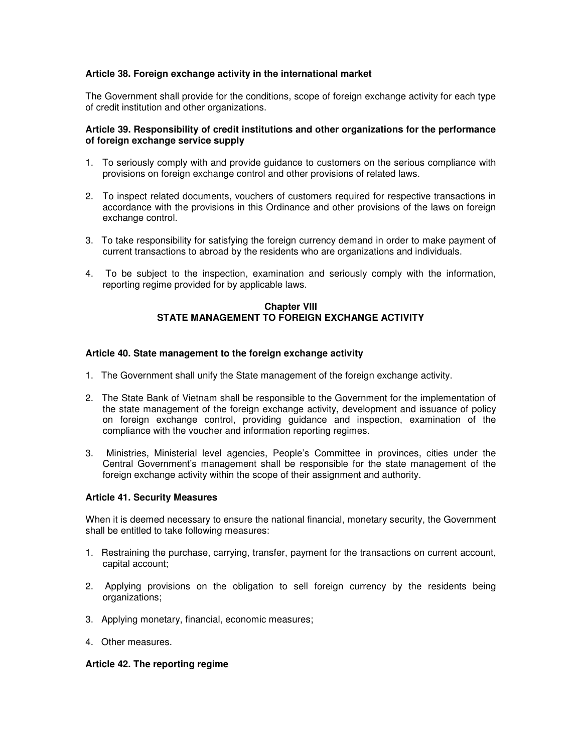# **Article 38. Foreign exchange activity in the international market**

The Government shall provide for the conditions, scope of foreign exchange activity for each type of credit institution and other organizations.

## **Article 39. Responsibility of credit institutions and other organizations for the performance of foreign exchange service supply**

- 1. To seriously comply with and provide guidance to customers on the serious compliance with provisions on foreign exchange control and other provisions of related laws.
- 2. To inspect related documents, vouchers of customers required for respective transactions in accordance with the provisions in this Ordinance and other provisions of the laws on foreign exchange control.
- 3. To take responsibility for satisfying the foreign currency demand in order to make payment of current transactions to abroad by the residents who are organizations and individuals.
- 4. To be subject to the inspection, examination and seriously comply with the information, reporting regime provided for by applicable laws.

## **Chapter VIII STATE MANAGEMENT TO FOREIGN EXCHANGE ACTIVITY**

## **Article 40. State management to the foreign exchange activity**

- 1. The Government shall unify the State management of the foreign exchange activity.
- 2. The State Bank of Vietnam shall be responsible to the Government for the implementation of the state management of the foreign exchange activity, development and issuance of policy on foreign exchange control, providing guidance and inspection, examination of the compliance with the voucher and information reporting regimes.
- 3. Ministries, Ministerial level agencies, People's Committee in provinces, cities under the Central Government's management shall be responsible for the state management of the foreign exchange activity within the scope of their assignment and authority.

## **Article 41. Security Measures**

When it is deemed necessary to ensure the national financial, monetary security, the Government shall be entitled to take following measures:

- 1. Restraining the purchase, carrying, transfer, payment for the transactions on current account, capital account;
- 2. Applying provisions on the obligation to sell foreign currency by the residents being organizations;
- 3. Applying monetary, financial, economic measures;
- 4. Other measures.

## **Article 42. The reporting regime**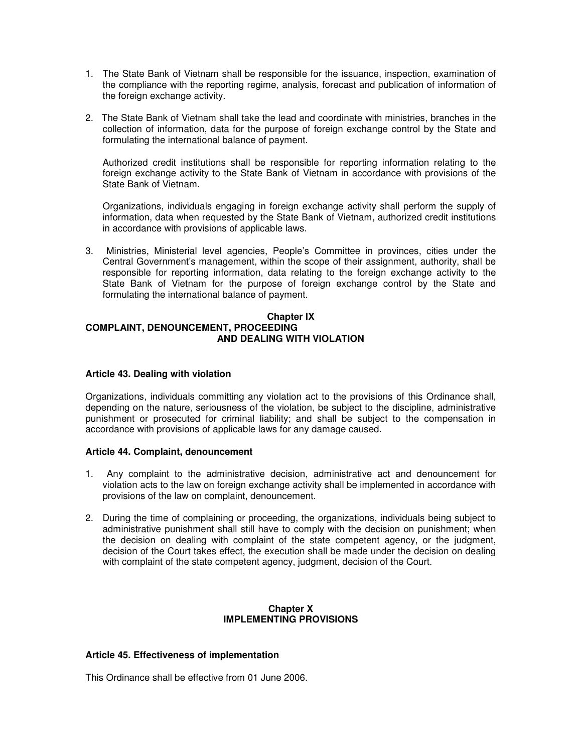- 1. The State Bank of Vietnam shall be responsible for the issuance, inspection, examination of the compliance with the reporting regime, analysis, forecast and publication of information of the foreign exchange activity.
- 2. The State Bank of Vietnam shall take the lead and coordinate with ministries, branches in the collection of information, data for the purpose of foreign exchange control by the State and formulating the international balance of payment.

Authorized credit institutions shall be responsible for reporting information relating to the foreign exchange activity to the State Bank of Vietnam in accordance with provisions of the State Bank of Vietnam.

Organizations, individuals engaging in foreign exchange activity shall perform the supply of information, data when requested by the State Bank of Vietnam, authorized credit institutions in accordance with provisions of applicable laws.

3. Ministries, Ministerial level agencies, People's Committee in provinces, cities under the Central Government's management, within the scope of their assignment, authority, shall be responsible for reporting information, data relating to the foreign exchange activity to the State Bank of Vietnam for the purpose of foreign exchange control by the State and formulating the international balance of payment.

#### **Chapter IX COMPLAINT, DENOUNCEMENT, PROCEEDING AND DEALING WITH VIOLATION**

# **Article 43. Dealing with violation**

Organizations, individuals committing any violation act to the provisions of this Ordinance shall, depending on the nature, seriousness of the violation, be subject to the discipline, administrative punishment or prosecuted for criminal liability; and shall be subject to the compensation in accordance with provisions of applicable laws for any damage caused.

## **Article 44. Complaint, denouncement**

- 1. Any complaint to the administrative decision, administrative act and denouncement for violation acts to the law on foreign exchange activity shall be implemented in accordance with provisions of the law on complaint, denouncement.
- 2. During the time of complaining or proceeding, the organizations, individuals being subject to administrative punishment shall still have to comply with the decision on punishment; when the decision on dealing with complaint of the state competent agency, or the judgment, decision of the Court takes effect, the execution shall be made under the decision on dealing with complaint of the state competent agency, judgment, decision of the Court.

## **Chapter X IMPLEMENTING PROVISIONS**

## **Article 45. Effectiveness of implementation**

This Ordinance shall be effective from 01 June 2006.